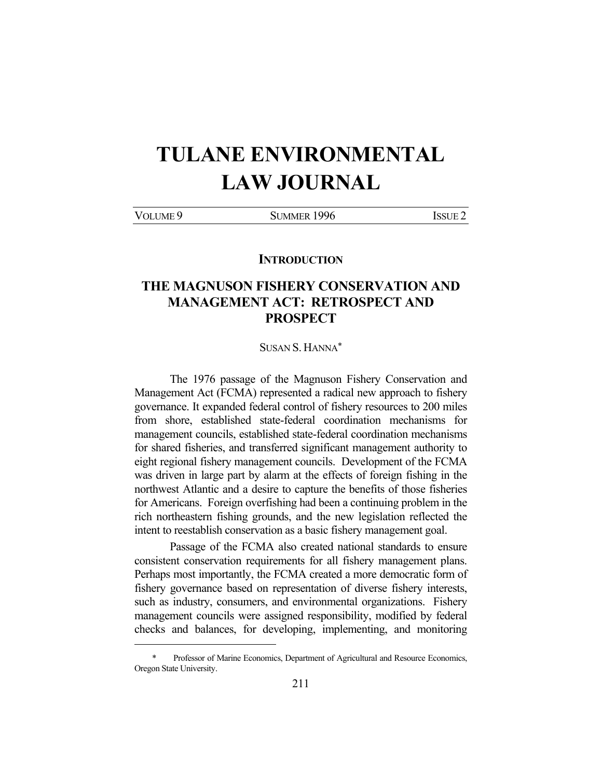# **TULANE ENVIRONMENTAL LAW JOURNAL**

|  | <b>VOLUME</b><br>IM F | -996<br>Si immer<br>IMME |  |
|--|-----------------------|--------------------------|--|
|--|-----------------------|--------------------------|--|

**INTRODUCTION** 

# **THE MAGNUSON FISHERY CONSERVATION AND MANAGEMENT ACT: RETROSPECT AND PROSPECT**

SUSAN S. HANNA\*

 The 1976 passage of the Magnuson Fishery Conservation and Management Act (FCMA) represented a radical new approach to fishery governance. It expanded federal control of fishery resources to 200 miles from shore, established state-federal coordination mechanisms for management councils, established state-federal coordination mechanisms for shared fisheries, and transferred significant management authority to eight regional fishery management councils. Development of the FCMA was driven in large part by alarm at the effects of foreign fishing in the northwest Atlantic and a desire to capture the benefits of those fisheries for Americans. Foreign overfishing had been a continuing problem in the rich northeastern fishing grounds, and the new legislation reflected the intent to reestablish conservation as a basic fishery management goal.

 Passage of the FCMA also created national standards to ensure consistent conservation requirements for all fishery management plans. Perhaps most importantly, the FCMA created a more democratic form of fishery governance based on representation of diverse fishery interests, such as industry, consumers, and environmental organizations. Fishery management councils were assigned responsibility, modified by federal checks and balances, for developing, implementing, and monitoring

<u>.</u>

Professor of Marine Economics, Department of Agricultural and Resource Economics, Oregon State University.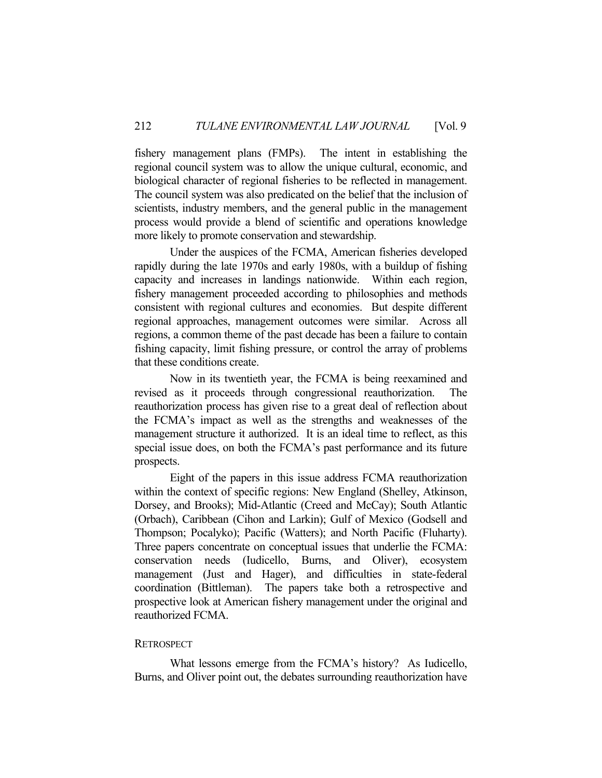fishery management plans (FMPs). The intent in establishing the regional council system was to allow the unique cultural, economic, and biological character of regional fisheries to be reflected in management. The council system was also predicated on the belief that the inclusion of scientists, industry members, and the general public in the management process would provide a blend of scientific and operations knowledge more likely to promote conservation and stewardship.

 Under the auspices of the FCMA, American fisheries developed rapidly during the late 1970s and early 1980s, with a buildup of fishing capacity and increases in landings nationwide. Within each region, fishery management proceeded according to philosophies and methods consistent with regional cultures and economies. But despite different regional approaches, management outcomes were similar. Across all regions, a common theme of the past decade has been a failure to contain fishing capacity, limit fishing pressure, or control the array of problems that these conditions create.

 Now in its twentieth year, the FCMA is being reexamined and revised as it proceeds through congressional reauthorization. The reauthorization process has given rise to a great deal of reflection about the FCMA's impact as well as the strengths and weaknesses of the management structure it authorized. It is an ideal time to reflect, as this special issue does, on both the FCMA's past performance and its future prospects.

 Eight of the papers in this issue address FCMA reauthorization within the context of specific regions: New England (Shelley, Atkinson, Dorsey, and Brooks); Mid-Atlantic (Creed and McCay); South Atlantic (Orbach), Caribbean (Cihon and Larkin); Gulf of Mexico (Godsell and Thompson; Pocalyko); Pacific (Watters); and North Pacific (Fluharty). Three papers concentrate on conceptual issues that underlie the FCMA: conservation needs (Iudicello, Burns, and Oliver), ecosystem management (Just and Hager), and difficulties in state-federal coordination (Bittleman). The papers take both a retrospective and prospective look at American fishery management under the original and reauthorized FCMA.

# **RETROSPECT**

 What lessons emerge from the FCMA's history? As Iudicello, Burns, and Oliver point out, the debates surrounding reauthorization have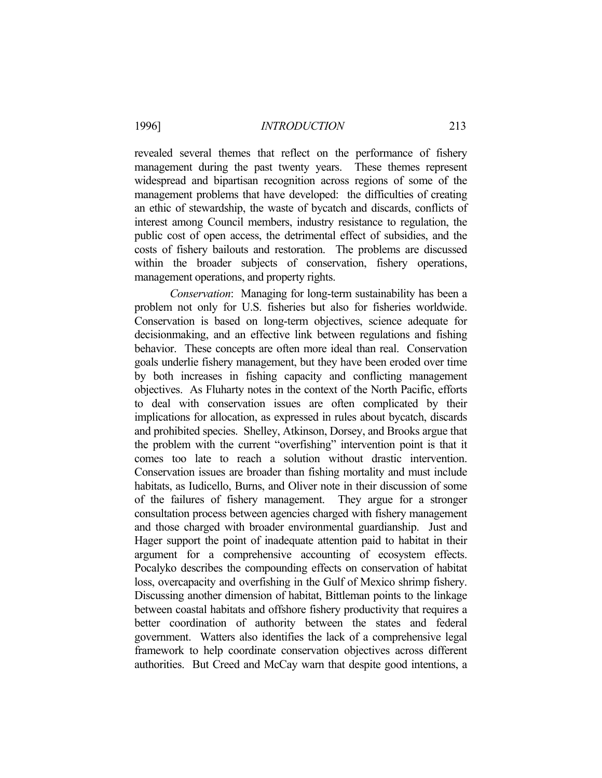revealed several themes that reflect on the performance of fishery management during the past twenty years. These themes represent widespread and bipartisan recognition across regions of some of the management problems that have developed: the difficulties of creating an ethic of stewardship, the waste of bycatch and discards, conflicts of interest among Council members, industry resistance to regulation, the public cost of open access, the detrimental effect of subsidies, and the costs of fishery bailouts and restoration. The problems are discussed within the broader subjects of conservation, fishery operations, management operations, and property rights.

 *Conservation*: Managing for long-term sustainability has been a problem not only for U.S. fisheries but also for fisheries worldwide. Conservation is based on long-term objectives, science adequate for decisionmaking, and an effective link between regulations and fishing behavior. These concepts are often more ideal than real. Conservation goals underlie fishery management, but they have been eroded over time by both increases in fishing capacity and conflicting management objectives. As Fluharty notes in the context of the North Pacific, efforts to deal with conservation issues are often complicated by their implications for allocation, as expressed in rules about bycatch, discards and prohibited species. Shelley, Atkinson, Dorsey, and Brooks argue that the problem with the current "overfishing" intervention point is that it comes too late to reach a solution without drastic intervention. Conservation issues are broader than fishing mortality and must include habitats, as Iudicello, Burns, and Oliver note in their discussion of some of the failures of fishery management. They argue for a stronger consultation process between agencies charged with fishery management and those charged with broader environmental guardianship. Just and Hager support the point of inadequate attention paid to habitat in their argument for a comprehensive accounting of ecosystem effects. Pocalyko describes the compounding effects on conservation of habitat loss, overcapacity and overfishing in the Gulf of Mexico shrimp fishery. Discussing another dimension of habitat, Bittleman points to the linkage between coastal habitats and offshore fishery productivity that requires a better coordination of authority between the states and federal government. Watters also identifies the lack of a comprehensive legal framework to help coordinate conservation objectives across different authorities. But Creed and McCay warn that despite good intentions, a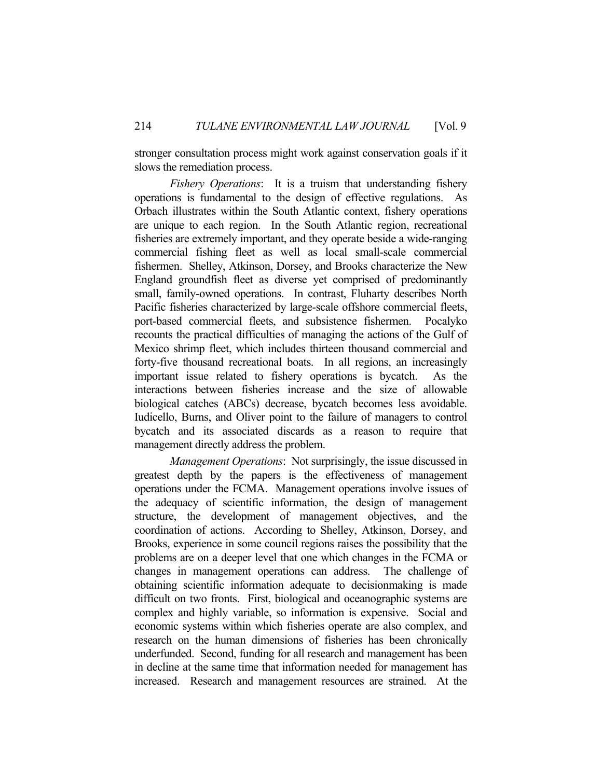stronger consultation process might work against conservation goals if it slows the remediation process.

 *Fishery Operations*: It is a truism that understanding fishery operations is fundamental to the design of effective regulations. As Orbach illustrates within the South Atlantic context, fishery operations are unique to each region. In the South Atlantic region, recreational fisheries are extremely important, and they operate beside a wide-ranging commercial fishing fleet as well as local small-scale commercial fishermen. Shelley, Atkinson, Dorsey, and Brooks characterize the New England groundfish fleet as diverse yet comprised of predominantly small, family-owned operations. In contrast, Fluharty describes North Pacific fisheries characterized by large-scale offshore commercial fleets, port-based commercial fleets, and subsistence fishermen. Pocalyko recounts the practical difficulties of managing the actions of the Gulf of Mexico shrimp fleet, which includes thirteen thousand commercial and forty-five thousand recreational boats. In all regions, an increasingly important issue related to fishery operations is bycatch. As the interactions between fisheries increase and the size of allowable biological catches (ABCs) decrease, bycatch becomes less avoidable. Iudicello, Burns, and Oliver point to the failure of managers to control bycatch and its associated discards as a reason to require that management directly address the problem.

 *Management Operations*: Not surprisingly, the issue discussed in greatest depth by the papers is the effectiveness of management operations under the FCMA. Management operations involve issues of the adequacy of scientific information, the design of management structure, the development of management objectives, and the coordination of actions. According to Shelley, Atkinson, Dorsey, and Brooks, experience in some council regions raises the possibility that the problems are on a deeper level that one which changes in the FCMA or changes in management operations can address. The challenge of obtaining scientific information adequate to decisionmaking is made difficult on two fronts. First, biological and oceanographic systems are complex and highly variable, so information is expensive. Social and economic systems within which fisheries operate are also complex, and research on the human dimensions of fisheries has been chronically underfunded. Second, funding for all research and management has been in decline at the same time that information needed for management has increased. Research and management resources are strained. At the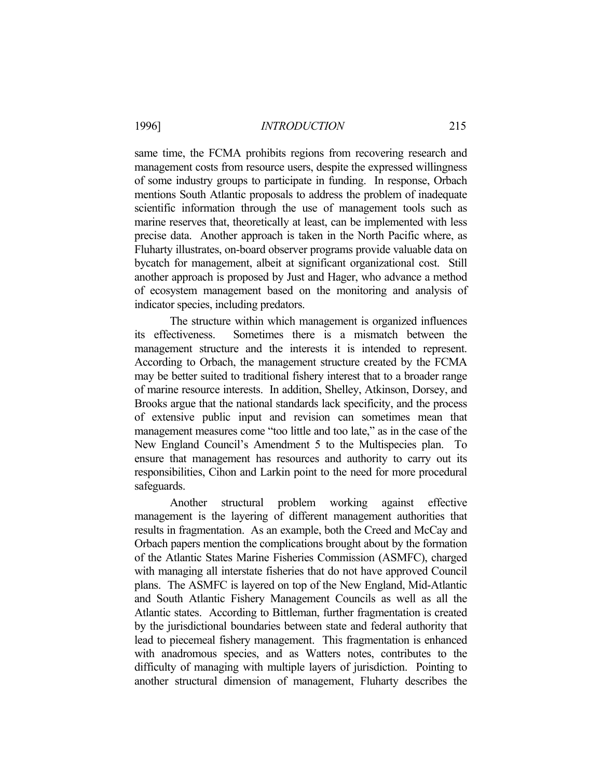same time, the FCMA prohibits regions from recovering research and management costs from resource users, despite the expressed willingness of some industry groups to participate in funding. In response, Orbach mentions South Atlantic proposals to address the problem of inadequate scientific information through the use of management tools such as marine reserves that, theoretically at least, can be implemented with less precise data. Another approach is taken in the North Pacific where, as Fluharty illustrates, on-board observer programs provide valuable data on bycatch for management, albeit at significant organizational cost. Still another approach is proposed by Just and Hager, who advance a method of ecosystem management based on the monitoring and analysis of indicator species, including predators.

 The structure within which management is organized influences its effectiveness. Sometimes there is a mismatch between the management structure and the interests it is intended to represent. According to Orbach, the management structure created by the FCMA may be better suited to traditional fishery interest that to a broader range of marine resource interests. In addition, Shelley, Atkinson, Dorsey, and Brooks argue that the national standards lack specificity, and the process of extensive public input and revision can sometimes mean that management measures come "too little and too late," as in the case of the New England Council's Amendment 5 to the Multispecies plan. To ensure that management has resources and authority to carry out its responsibilities, Cihon and Larkin point to the need for more procedural safeguards.

 Another structural problem working against effective management is the layering of different management authorities that results in fragmentation. As an example, both the Creed and McCay and Orbach papers mention the complications brought about by the formation of the Atlantic States Marine Fisheries Commission (ASMFC), charged with managing all interstate fisheries that do not have approved Council plans. The ASMFC is layered on top of the New England, Mid-Atlantic and South Atlantic Fishery Management Councils as well as all the Atlantic states. According to Bittleman, further fragmentation is created by the jurisdictional boundaries between state and federal authority that lead to piecemeal fishery management. This fragmentation is enhanced with anadromous species, and as Watters notes, contributes to the difficulty of managing with multiple layers of jurisdiction. Pointing to another structural dimension of management, Fluharty describes the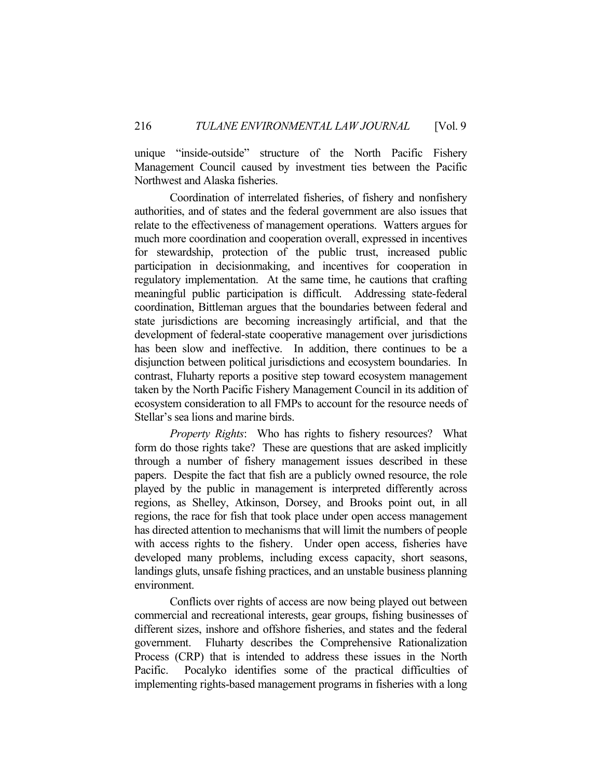unique "inside-outside" structure of the North Pacific Fishery Management Council caused by investment ties between the Pacific Northwest and Alaska fisheries.

 Coordination of interrelated fisheries, of fishery and nonfishery authorities, and of states and the federal government are also issues that relate to the effectiveness of management operations. Watters argues for much more coordination and cooperation overall, expressed in incentives for stewardship, protection of the public trust, increased public participation in decisionmaking, and incentives for cooperation in regulatory implementation. At the same time, he cautions that crafting meaningful public participation is difficult. Addressing state-federal coordination, Bittleman argues that the boundaries between federal and state jurisdictions are becoming increasingly artificial, and that the development of federal-state cooperative management over jurisdictions has been slow and ineffective. In addition, there continues to be a disjunction between political jurisdictions and ecosystem boundaries. In contrast, Fluharty reports a positive step toward ecosystem management taken by the North Pacific Fishery Management Council in its addition of ecosystem consideration to all FMPs to account for the resource needs of Stellar's sea lions and marine birds.

 *Property Rights*: Who has rights to fishery resources? What form do those rights take? These are questions that are asked implicitly through a number of fishery management issues described in these papers. Despite the fact that fish are a publicly owned resource, the role played by the public in management is interpreted differently across regions, as Shelley, Atkinson, Dorsey, and Brooks point out, in all regions, the race for fish that took place under open access management has directed attention to mechanisms that will limit the numbers of people with access rights to the fishery. Under open access, fisheries have developed many problems, including excess capacity, short seasons, landings gluts, unsafe fishing practices, and an unstable business planning environment.

 Conflicts over rights of access are now being played out between commercial and recreational interests, gear groups, fishing businesses of different sizes, inshore and offshore fisheries, and states and the federal government. Fluharty describes the Comprehensive Rationalization Process (CRP) that is intended to address these issues in the North Pacific. Pocalyko identifies some of the practical difficulties of implementing rights-based management programs in fisheries with a long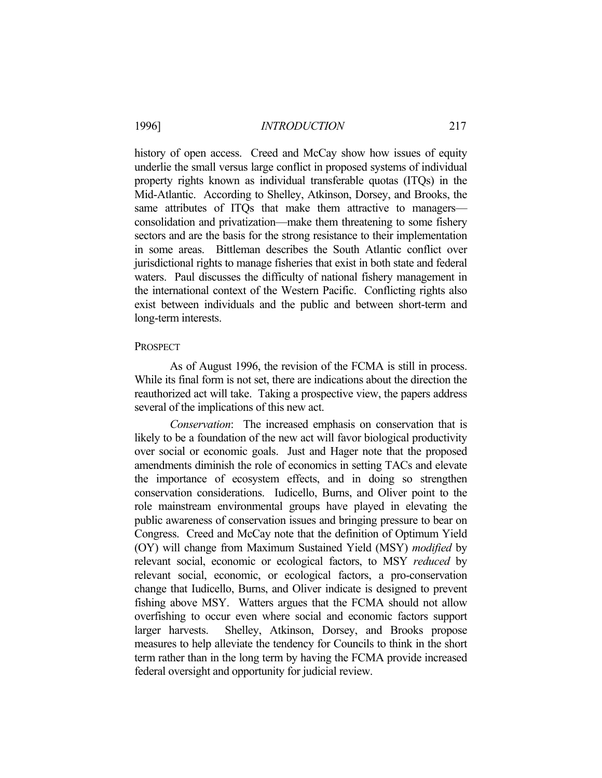history of open access. Creed and McCay show how issues of equity underlie the small versus large conflict in proposed systems of individual property rights known as individual transferable quotas (ITQs) in the Mid-Atlantic. According to Shelley, Atkinson, Dorsey, and Brooks, the same attributes of ITQs that make them attractive to managers consolidation and privatization—make them threatening to some fishery sectors and are the basis for the strong resistance to their implementation in some areas. Bittleman describes the South Atlantic conflict over jurisdictional rights to manage fisheries that exist in both state and federal waters. Paul discusses the difficulty of national fishery management in the international context of the Western Pacific. Conflicting rights also exist between individuals and the public and between short-term and long-term interests.

#### PROSPECT

 As of August 1996, the revision of the FCMA is still in process. While its final form is not set, there are indications about the direction the reauthorized act will take. Taking a prospective view, the papers address several of the implications of this new act.

 *Conservation*: The increased emphasis on conservation that is likely to be a foundation of the new act will favor biological productivity over social or economic goals. Just and Hager note that the proposed amendments diminish the role of economics in setting TACs and elevate the importance of ecosystem effects, and in doing so strengthen conservation considerations. Iudicello, Burns, and Oliver point to the role mainstream environmental groups have played in elevating the public awareness of conservation issues and bringing pressure to bear on Congress. Creed and McCay note that the definition of Optimum Yield (OY) will change from Maximum Sustained Yield (MSY) *modified* by relevant social, economic or ecological factors, to MSY *reduced* by relevant social, economic, or ecological factors, a pro-conservation change that Iudicello, Burns, and Oliver indicate is designed to prevent fishing above MSY. Watters argues that the FCMA should not allow overfishing to occur even where social and economic factors support larger harvests. Shelley, Atkinson, Dorsey, and Brooks propose measures to help alleviate the tendency for Councils to think in the short term rather than in the long term by having the FCMA provide increased federal oversight and opportunity for judicial review.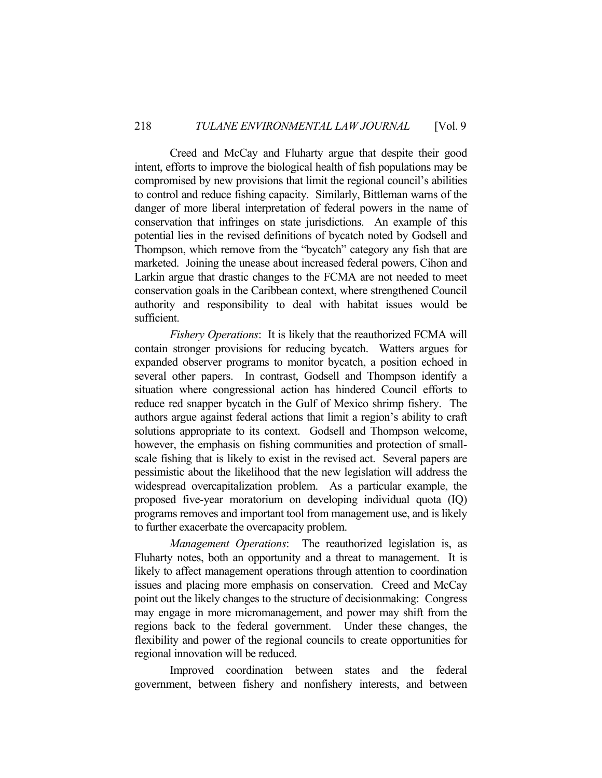Creed and McCay and Fluharty argue that despite their good intent, efforts to improve the biological health of fish populations may be compromised by new provisions that limit the regional council's abilities to control and reduce fishing capacity. Similarly, Bittleman warns of the danger of more liberal interpretation of federal powers in the name of conservation that infringes on state jurisdictions. An example of this potential lies in the revised definitions of bycatch noted by Godsell and Thompson, which remove from the "bycatch" category any fish that are marketed. Joining the unease about increased federal powers, Cihon and Larkin argue that drastic changes to the FCMA are not needed to meet conservation goals in the Caribbean context, where strengthened Council authority and responsibility to deal with habitat issues would be sufficient.

 *Fishery Operations*: It is likely that the reauthorized FCMA will contain stronger provisions for reducing bycatch. Watters argues for expanded observer programs to monitor bycatch, a position echoed in several other papers. In contrast, Godsell and Thompson identify a situation where congressional action has hindered Council efforts to reduce red snapper bycatch in the Gulf of Mexico shrimp fishery. The authors argue against federal actions that limit a region's ability to craft solutions appropriate to its context. Godsell and Thompson welcome, however, the emphasis on fishing communities and protection of smallscale fishing that is likely to exist in the revised act. Several papers are pessimistic about the likelihood that the new legislation will address the widespread overcapitalization problem. As a particular example, the proposed five-year moratorium on developing individual quota (IQ) programs removes and important tool from management use, and is likely to further exacerbate the overcapacity problem.

 *Management Operations*: The reauthorized legislation is, as Fluharty notes, both an opportunity and a threat to management. It is likely to affect management operations through attention to coordination issues and placing more emphasis on conservation. Creed and McCay point out the likely changes to the structure of decisionmaking: Congress may engage in more micromanagement, and power may shift from the regions back to the federal government. Under these changes, the flexibility and power of the regional councils to create opportunities for regional innovation will be reduced.

 Improved coordination between states and the federal government, between fishery and nonfishery interests, and between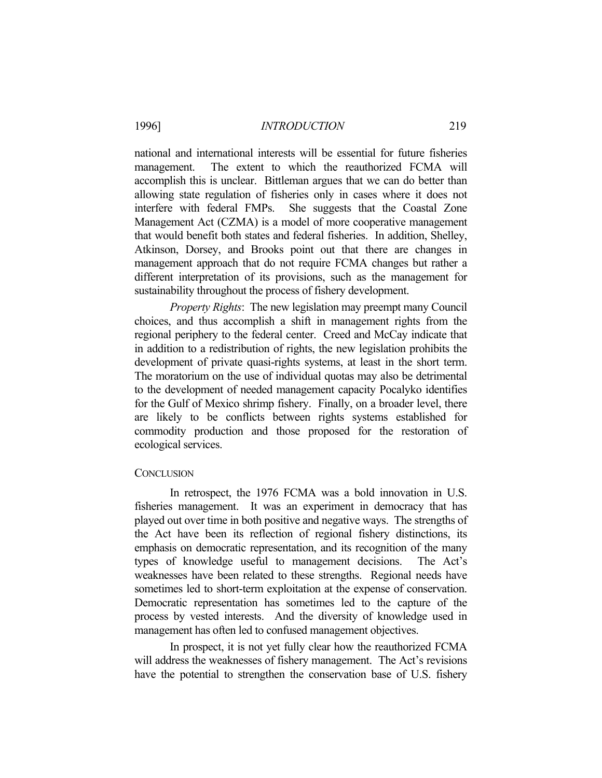national and international interests will be essential for future fisheries management. The extent to which the reauthorized FCMA will accomplish this is unclear. Bittleman argues that we can do better than allowing state regulation of fisheries only in cases where it does not interfere with federal FMPs. She suggests that the Coastal Zone Management Act (CZMA) is a model of more cooperative management that would benefit both states and federal fisheries. In addition, Shelley, Atkinson, Dorsey, and Brooks point out that there are changes in management approach that do not require FCMA changes but rather a different interpretation of its provisions, such as the management for sustainability throughout the process of fishery development.

 *Property Rights*: The new legislation may preempt many Council choices, and thus accomplish a shift in management rights from the regional periphery to the federal center. Creed and McCay indicate that in addition to a redistribution of rights, the new legislation prohibits the development of private quasi-rights systems, at least in the short term. The moratorium on the use of individual quotas may also be detrimental to the development of needed management capacity Pocalyko identifies for the Gulf of Mexico shrimp fishery. Finally, on a broader level, there are likely to be conflicts between rights systems established for commodity production and those proposed for the restoration of ecological services.

### **CONCLUSION**

In retrospect, the 1976 FCMA was a bold innovation in U.S. fisheries management. It was an experiment in democracy that has played out over time in both positive and negative ways. The strengths of the Act have been its reflection of regional fishery distinctions, its emphasis on democratic representation, and its recognition of the many types of knowledge useful to management decisions. The Act's weaknesses have been related to these strengths. Regional needs have sometimes led to short-term exploitation at the expense of conservation. Democratic representation has sometimes led to the capture of the process by vested interests. And the diversity of knowledge used in management has often led to confused management objectives.

 In prospect, it is not yet fully clear how the reauthorized FCMA will address the weaknesses of fishery management. The Act's revisions have the potential to strengthen the conservation base of U.S. fishery